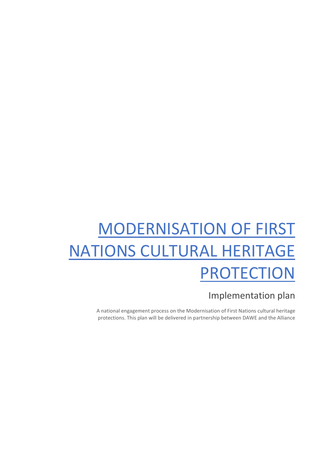# MODERNISATION OF FIRST NATIONS CULTURAL HERITAGE PROTECTION

# Implementation plan

A national engagement process on the Modernisation of First Nations cultural heritage protections. This plan will be delivered in partnership between DAWE and the Alliance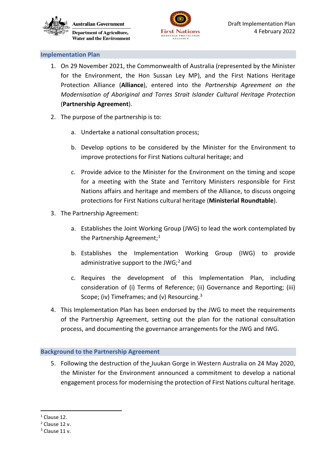



#### **Implementation Plan**

- 1. On 29 November 2021, the Commonwealth of Australia (represented by the Minister for the Environment, the Hon Sussan Ley MP), and the First Nations Heritage Protection Alliance (**Alliance**), entered into the *Partnership Agreement on the Modernisation of Aboriginal and Torres Strait Islander Cultural Heritage Protection* (**Partnership Agreement**).
- 2. The purpose of the partnership is to:
	- a. Undertake a national consultation process;
	- b. Develop options to be considered by the Minister for the Environment to improve protections for First Nations cultural heritage; and
	- c. Provide advice to the Minister for the Environment on the timing and scope for a meeting with the State and Territory Ministers responsible for First Nations affairs and heritage and members of the Alliance, to discuss ongoing protections for First Nations cultural heritage (**Ministerial Roundtable**).
- 3. The Partnership Agreement:
	- a. Establishes the Joint Working Group (JWG) to lead the work contemplated by the Partnership Agreement;<sup>[1](#page-1-0)</sup>
	- b. Establishes the Implementation Working Group (IWG) to provide administrative support to the JWG; $^2$  $^2$  and
	- c. Requires the development of this Implementation Plan, including consideration of (i) Terms of Reference; (ii) Governance and Reporting; (iii) Scope; (iv) Timeframes; and (v) Resourcing.<sup>[3](#page-1-2)</sup>
- 4. This Implementation Plan has been endorsed by the JWG to meet the requirements of the Partnership Agreement, setting out the plan for the national consultation process, and documenting the governance arrangements for the JWG and IWG.

# **Background to the Partnership Agreement**

5. Following the destruction of the Juukan Gorge in Western Australia on 24 May 2020, the Minister for the Environment announced a commitment to develop a national engagement process for modernising the protection of First Nations cultural heritage.

<span id="page-1-0"></span> $<sup>1</sup>$  Clause 12.</sup>

<span id="page-1-1"></span><sup>2</sup> Clause 12 v.

<span id="page-1-2"></span> $3$  Clause 11 v.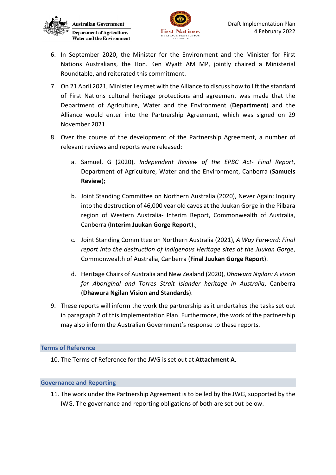



- 6. In September 2020, the Minister for the Environment and the Minister for First Nations Australians, the Hon. Ken Wyatt AM MP, jointly chaired a Ministerial Roundtable, and reiterated this commitment.
- 7. On 21 April 2021, Minister Ley met with the Alliance to discuss how to lift the standard of First Nations cultural heritage protections and agreement was made that the Department of Agriculture, Water and the Environment (**Department**) and the Alliance would enter into the Partnership Agreement, which was signed on 29 November 2021.
- 8. Over the course of the development of the Partnership Agreement, a number of relevant reviews and reports were released:
	- a. Samuel, G (2020), *Independent Review of the EPBC Act- Final Report*, Department of Agriculture, Water and the Environment, Canberra (**Samuels Review**);
	- b. Joint Standing Committee on Northern Australia (2020), Never Again: Inquiry into the destruction of 46,000 year old caves at the Juukan Gorge in the Pilbara region of Western Australia- Interim Report, Commonwealth of Australia, Canberra (**Interim Juukan Gorge Report**).;
	- c. Joint Standing Committee on Northern Australia (2021), *A Way Forward: Final report into the destruction of Indigenous Heritage sites at the Juukan Gorge*, Commonwealth of Australia, Canberra (**Final Juukan Gorge Report**).
	- d. Heritage Chairs of Australia and New Zealand (2020), *Dhawura Ngilan: A vision for Aboriginal and Torres Strait Islander heritage in Australia*, Canberra (**Dhawura Ngilan Vision and Standards**).
- 9. These reports will inform the work the partnership as it undertakes the tasks set out in paragraph 2 of this Implementation Plan. Furthermore, the work of the partnership may also inform the Australian Government's response to these reports.

# **Terms of Reference**

10. The Terms of Reference for the JWG is set out at **Attachment A**.

# **Governance and Reporting**

11. The work under the Partnership Agreement is to be led by the JWG, supported by the IWG. The governance and reporting obligations of both are set out below.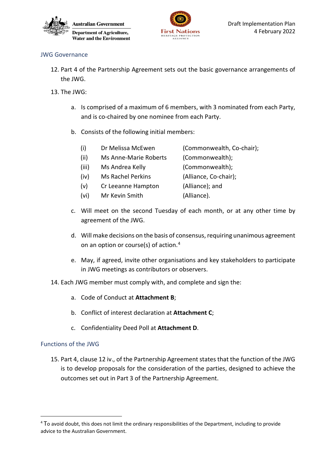



# JWG Governance

- 12. Part 4 of the Partnership Agreement sets out the basic governance arrangements of the JWG.
- 13. The JWG:
	- a. Is comprised of a maximum of 6 members, with 3 nominated from each Party, and is co-chaired by one nominee from each Party.
	- b. Consists of the following initial members:
		- (i) Dr Melissa McEwen (Commonwealth, Co-chair);
		- (ii) Ms Anne-Marie Roberts (Commonwealth);
		- (iii) Ms Andrea Kelly (Commonwealth);
			-
		- (iv) Ms Rachel Perkins (Alliance, Co-chair);
		- (v) Cr Leeanne Hampton (Alliance); and
		- (vi) Mr Kevin Smith (Alliance).
	- c. Will meet on the second Tuesday of each month, or at any other time by agreement of the JWG.
	- d. Will make decisions on the basis of consensus, requiring unanimous agreement on an option or course(s) of action[.4](#page-3-0)
	- e. May, if agreed, invite other organisations and key stakeholders to participate in JWG meetings as contributors or observers.
- 14. Each JWG member must comply with, and complete and sign the:
	- a. Code of Conduct at **Attachment B**;
	- b. Conflict of interest declaration at **Attachment C**;
	- c. Confidentiality Deed Poll at **Attachment D**.

# Functions of the JWG

15. Part 4, clause 12 iv., of the Partnership Agreement states that the function of the JWG is to develop proposals for the consideration of the parties, designed to achieve the outcomes set out in Part 3 of the Partnership Agreement.

<span id="page-3-0"></span><sup>&</sup>lt;sup>4</sup> To avoid doubt, this does not limit the ordinary responsibilities of the Department, including to provide advice to the Australian Government.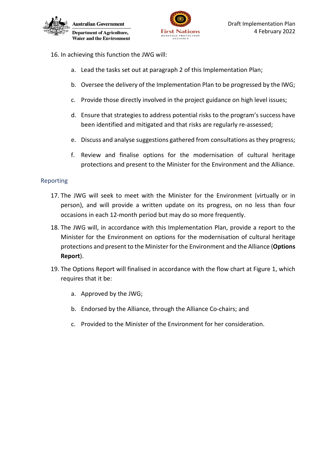

- 16. In achieving this function the JWG will:
	- a. Lead the tasks set out at paragraph 2 of this Implementation Plan;
	- b. Oversee the delivery of the Implementation Plan to be progressed by the IWG;
	- c. Provide those directly involved in the project guidance on high level issues;
	- d. Ensure that strategies to address potential risks to the program's success have been identified and mitigated and that risks are regularly re-assessed;
	- e. Discuss and analyse suggestions gathered from consultations as they progress;
	- f. Review and finalise options for the modernisation of cultural heritage protections and present to the Minister for the Environment and the Alliance.

# Reporting

- 17. The JWG will seek to meet with the Minister for the Environment (virtually or in person), and will provide a written update on its progress, on no less than four occasions in each 12-month period but may do so more frequently.
- 18. The JWG will, in accordance with this Implementation Plan, provide a report to the Minister for the Environment on options for the modernisation of cultural heritage protections and present to the Minister for the Environment and the Alliance (**Options Report**).
- 19. The Options Report will finalised in accordance with the flow chart at [Figure 1,](#page-5-0) which requires that it be:
	- a. Approved by the JWG;
	- b. Endorsed by the Alliance, through the Alliance Co-chairs; and
	- c. Provided to the Minister of the Environment for her consideration.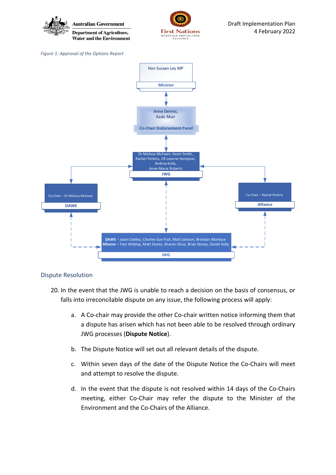<span id="page-5-0"></span>

# Dispute Resolution

- 20. In the event that the JWG is unable to reach a decision on the basis of consensus, or falls into irreconcilable dispute on any issue, the following process will apply:
	- a. A Co-chair may provide the other Co-chair written notice informing them that a dispute has arisen which has not been able to be resolved through ordinary JWG processes (**Dispute Notice**).
	- b. The Dispute Notice will set out all relevant details of the dispute.
	- c. Within seven days of the date of the Dispute Notice the Co-Chairs will meet and attempt to resolve the dispute.
	- d. In the event that the dispute is not resolved within 14 days of the Co-Chairs meeting, either Co-Chair may refer the dispute to the Minister of the Environment and the Co-Chairs of the Alliance.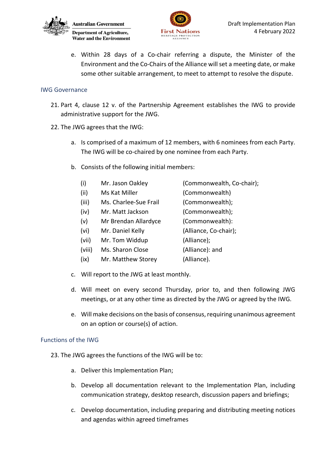



e. Within 28 days of a Co-chair referring a dispute, the Minister of the Environment and the Co-Chairs of the Alliance will set a meeting date, or make some other suitable arrangement, to meet to attempt to resolve the dispute.

#### IWG Governance

- 21. Part 4, clause 12 v. of the Partnership Agreement establishes the IWG to provide administrative support for the JWG.
- 22. The JWG agrees that the IWG:
	- a. Is comprised of a maximum of 12 members, with 6 nominees from each Party. The IWG will be co-chaired by one nominee from each Party.
	- b. Consists of the following initial members:
		- (i) Mr. Jason Oakley (Commonwealth, Co-chair);
		- (ii) Ms Kat Miller (Commonwealth)
		- (iii) Ms. Charlee-Sue Frail (Commonwealth);
		- (iv) Mr. Matt Jackson (Commonwealth);
		- (v) Mr Brendan Allardyce (Commonwealth):
		- (vi) Mr. Daniel Kelly (Alliance, Co-chair);
		- (vii) Mr. Tom Widdup (Alliance);
		- (viii) Ms. Sharon Close (Alliance): and
		- (ix) Mr. Matthew Storey (Alliance).
	- c. Will report to the JWG at least monthly.
	- d. Will meet on every second Thursday, prior to, and then following JWG meetings, or at any other time as directed by the JWG or agreed by the IWG.
	- e. Will make decisions on the basis of consensus, requiring unanimous agreement on an option or course(s) of action.

# Functions of the IWG

- 23. The JWG agrees the functions of the IWG will be to:
	- a. Deliver this Implementation Plan;
	- b. Develop all documentation relevant to the Implementation Plan, including communication strategy, desktop research, discussion papers and briefings;
	- c. Develop documentation, including preparing and distributing meeting notices and agendas within agreed timeframes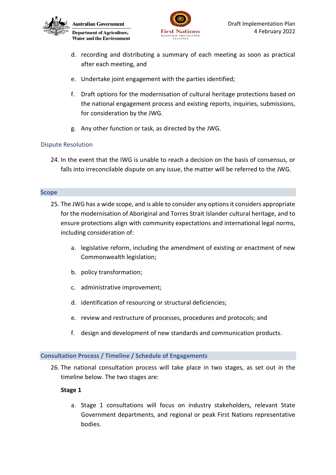



- d. recording and distributing a summary of each meeting as soon as practical after each meeting, and
- e. Undertake joint engagement with the parties identified;
- f. Draft options for the modernisation of cultural heritage protections based on the national engagement process and existing reports, inquiries, submissions, for consideration by the JWG.
- g. Any other function or task, as directed by the JWG.

# Dispute Resolution

24. In the event that the IWG is unable to reach a decision on the basis of consensus, or falls into irreconcilable dispute on any issue, the matter will be referred to the JWG.

#### **Scope**

- 25. The JWG has a wide scope, and is able to consider any options it considers appropriate for the modernisation of Aboriginal and Torres Strait Islander cultural heritage, and to ensure protections align with community expectations and international legal norms, including consideration of:
	- a. legislative reform, including the amendment of existing or enactment of new Commonwealth legislation;
	- b. policy transformation;
	- c. administrative improvement;
	- d. identification of resourcing or structural deficiencies;
	- e. review and restructure of processes, procedures and protocols; and
	- f. design and development of new standards and communication products.

# **Consultation Process / Timeline / Schedule of Engagements**

26. The national consultation process will take place in two stages, as set out in the timeline below. The two stages are:

# **Stage 1**

a. Stage 1 consultations will focus on industry stakeholders, relevant State Government departments, and regional or peak First Nations representative bodies.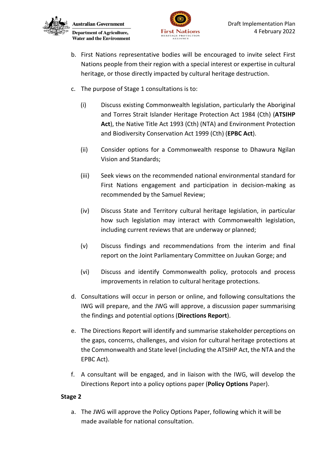



- b. First Nations representative bodies will be encouraged to invite select First Nations people from their region with a special interest or expertise in cultural heritage, or those directly impacted by cultural heritage destruction.
- c. The purpose of Stage 1 consultations is to:
	- (i) Discuss existing Commonwealth legislation, particularly the Aboriginal and Torres Strait Islander Heritage Protection Act 1984 (Cth) (**ATSIHP Act**), the Native Title Act 1993 (Cth) (NTA) and Environment Protection and Biodiversity Conservation Act 1999 (Cth) (**EPBC Act**).
	- (ii) Consider options for a Commonwealth response to Dhawura Ngilan Vision and Standards;
	- (iii) Seek views on the recommended national environmental standard for First Nations engagement and participation in decision-making as recommended by the Samuel Review;
	- (iv) Discuss State and Territory cultural heritage legislation, in particular how such legislation may interact with Commonwealth legislation, including current reviews that are underway or planned;
	- (v) Discuss findings and recommendations from the interim and final report on the Joint Parliamentary Committee on Juukan Gorge; and
	- (vi) Discuss and identify Commonwealth policy, protocols and process improvements in relation to cultural heritage protections.
- d. Consultations will occur in person or online, and following consultations the IWG will prepare, and the JWG will approve, a discussion paper summarising the findings and potential options (**Directions Report**).
- e. The Directions Report will identify and summarise stakeholder perceptions on the gaps, concerns, challenges, and vision for cultural heritage protections at the Commonwealth and State level (including the ATSIHP Act, the NTA and the EPBC Act).
- f. A consultant will be engaged, and in liaison with the IWG, will develop the Directions Report into a policy options paper (**Policy Options** Paper).

# **Stage 2**

a. The JWG will approve the Policy Options Paper, following which it will be made available for national consultation.